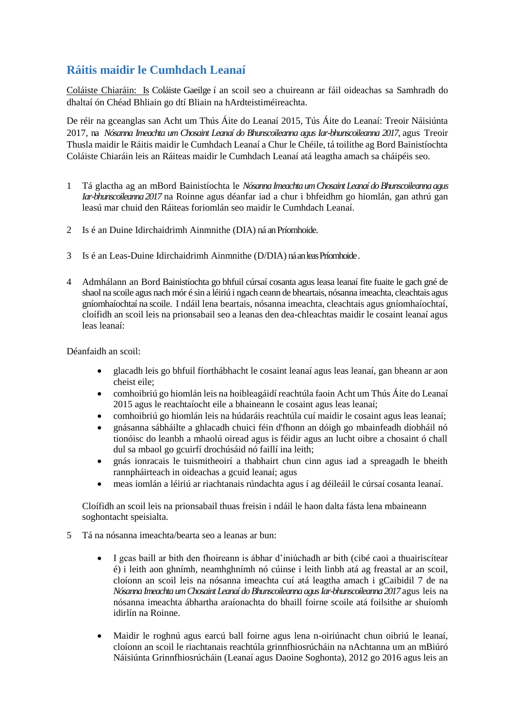## **Ráitis maidir le Cumhdach Leanaí**

Coláiste Chiaráin: Is Coláiste Gaeilge í an scoil seo a chuireann ar fáil oideachas sa Samhradh do dhaltaí ón Chéad Bhliain go dtí Bliain na hArdteistiméireachta.

De réir na gceanglas san Acht um Thús Áite do Leanaí 2015, Tús Áite do Leanaí: Treoir Náisiúnta 2017, na *Nósanna Imeachta um Chosaint Leanaí do Bhunscoileanna agus Iar-bhunscoileanna 2017*, agus Treoir Thusla maidir le Ráitis maidir le Cumhdach Leanaí a Chur le Chéile, tá toilithe ag Bord Bainistíochta Coláiste Chiaráin leis an Ráiteas maidir le Cumhdach Leanaí atá leagtha amach sa cháipéis seo.

- 1 Tá glactha ag an mBord Bainistíochta le *Nósanna Imeachta um Chosaint Leanaí do Bhunscoileanna agus Iar-bhunscoileanna 2017* na Roinne agus déanfar iad a chur i bhfeidhm go hiomlán, gan athrú gan leasú mar chuid den Ráiteas foriomlán seo maidir le Cumhdach Leanaí.
- 2 Is é an Duine Idirchaidrimh Ainmnithe (DIA) ná an Príomhoide.
- 3 Is é an Leas-Duine Idirchaidrimh Ainmnithe (D/DIA) ná an leas Príomhoide .
- 4 Admhálann an Bord Bainistíochta go bhfuil cúrsaí cosanta agus leasa leanaí fite fuaite le gach gné de shaol na scoile agus nach mór é sin a léiriú i ngach ceann de bheartais, nósanna imeachta, cleachtais agus gníomhaíochtaí na scoile. I ndáil lena beartais, nósanna imeachta, cleachtais agus gníomhaíochtaí, cloífidh an scoil leis na prionsabail seo a leanas den dea-chleachtas maidir le cosaint leanaí agus leas leanaí:

Déanfaidh an scoil:

- glacadh leis go bhfuil fíorthábhacht le cosaint leanaí agus leas leanaí, gan bheann ar aon cheist eile;
- comhoibriú go hiomlán leis na hoibleagáidí reachtúla faoin Acht um Thús Áite do Leanaí 2015 agus le reachtaíocht eile a bhaineann le cosaint agus leas leanaí;
- comhoibriú go hiomlán leis na húdaráis reachtúla cuí maidir le cosaint agus leas leanaí;
- gnásanna sábháilte a ghlacadh chuici féin d'fhonn an dóigh go mbainfeadh díobháil nó tionóisc do leanbh a mhaolú oiread agus is féidir agus an lucht oibre a chosaint ó chall dul sa mbaol go gcuirfí drochúsáid nó faillí ina leith;
- gnás ionracais le tuismitheoirí a thabhairt chun cinn agus iad a spreagadh le bheith rannpháirteach in oideachas a gcuid leanaí; agus
- meas iomlán a léiriú ar riachtanais rúndachta agus í ag déileáil le cúrsaí cosanta leanaí.

Cloífidh an scoil leis na prionsabail thuas freisin i ndáil le haon dalta fásta lena mbaineann soghontacht speisialta.

- 5 Tá na nósanna imeachta/bearta seo a leanas ar bun:
	- I gcas baill ar bith den fhoireann is ábhar d'iniúchadh ar bith (cibé caoi a thuairiscítear é) i leith aon ghnímh, neamhghnímh nó cúinse i leith linbh atá ag freastal ar an scoil, cloíonn an scoil leis na nósanna imeachta cuí atá leagtha amach i gCaibidil 7 de na *Nósanna Imeachta um Chosaint Leanaí do Bhunscoileanna agus Iar-bhunscoileanna 2017* agus leis na nósanna imeachta ábhartha araíonachta do bhaill foirne scoile atá foilsithe ar shuíomh idirlín na Roinne.
	- Maidir le roghnú agus earcú ball foirne agus lena n-oiriúnacht chun oibriú le leanaí, cloíonn an scoil le riachtanais reachtúla grinnfhiosrúcháin na nAchtanna um an mBiúró Náisiúnta Grinnfhiosrúcháin (Leanaí agus Daoine Soghonta), 2012 go 2016 agus leis an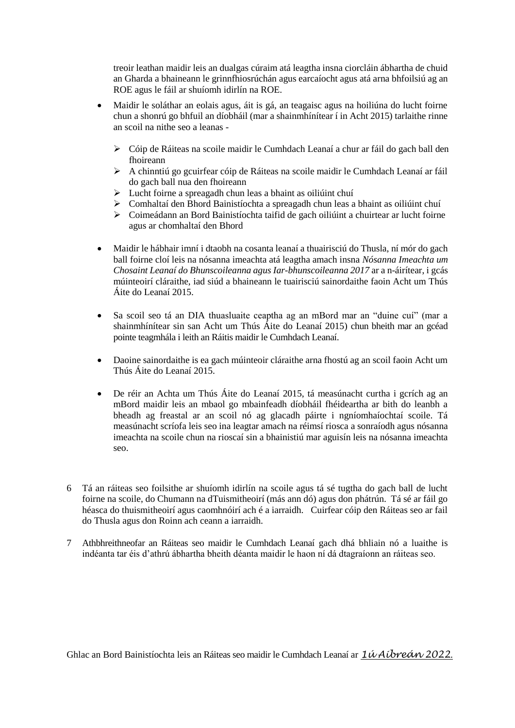treoir leathan maidir leis an dualgas cúraim atá leagtha insna ciorcláin ábhartha de chuid an Gharda a bhaineann le grinnfhiosrúchán agus earcaíocht agus atá arna bhfoilsiú ag an ROE agus le fáil ar shuíomh idirlín na ROE.

- Maidir le soláthar an eolais agus, áit is gá, an teagaisc agus na hoiliúna do lucht foirne chun a shonrú go bhfuil an díobháil (mar a shainmhínítear í in Acht 2015) tarlaithe rinne an scoil na nithe seo a leanas -
	- Cóip de Ráiteas na scoile maidir le Cumhdach Leanaí a chur ar fáil do gach ball den fhoireann
	- A chinntiú go gcuirfear cóip de Ráiteas na scoile maidir le Cumhdach Leanaí ar fáil do gach ball nua den fhoireann
	- $\triangleright$  Lucht foirne a spreagadh chun leas a bhaint as oiliúint chuí
	- $\triangleright$  Comhaltaí den Bhord Bainistíochta a spreagadh chun leas a bhaint as oiliúint chuí
	- Coimeádann an Bord Bainistíochta taifid de gach oiliúint a chuirtear ar lucht foirne agus ar chomhaltaí den Bhord
- Maidir le hábhair imní i dtaobh na cosanta leanaí a thuairisciú do Thusla, ní mór do gach ball foirne cloí leis na nósanna imeachta atá leagtha amach insna *Nósanna Imeachta um Chosaint Leanaí do Bhunscoileanna agus Iar-bhunscoileanna 2017* ar a n-áirítear, i gcás múinteoirí cláraithe, iad siúd a bhaineann le tuairisciú sainordaithe faoin Acht um Thús Áite do Leanaí 2015.
- Sa scoil seo tá an DIA thuasluaite ceaptha ag an mBord mar an "duine cuí" (mar a shainmhínítear sin san Acht um Thús Áite do Leanaí 2015) chun bheith mar an gcéad pointe teagmhála i leith an Ráitis maidir le Cumhdach Leanaí.
- Daoine sainordaithe is ea gach múinteoir cláraithe arna fhostú ag an scoil faoin Acht um Thús Áite do Leanaí 2015.
- De réir an Achta um Thús Áite do Leanaí 2015, tá measúnacht curtha i gcrích ag an mBord maidir leis an mbaol go mbainfeadh díobháil fhéideartha ar bith do leanbh a bheadh ag freastal ar an scoil nó ag glacadh páirte i ngníomhaíochtaí scoile. Tá measúnacht scríofa leis seo ina leagtar amach na réimsí riosca a sonraíodh agus nósanna imeachta na scoile chun na rioscaí sin a bhainistiú mar aguisín leis na nósanna imeachta seo.
- 6 Tá an ráiteas seo foilsithe ar shuíomh idirlín na scoile agus tá sé tugtha do gach ball de lucht foirne na scoile, do Chumann na dTuismitheoirí (más ann dó) agus don phátrún. Tá sé ar fáil go héasca do thuismitheoirí agus caomhnóirí ach é a iarraidh. Cuirfear cóip den Ráiteas seo ar fail do Thusla agus don Roinn ach ceann a iarraidh.
- 7 Athbhreithneofar an Ráiteas seo maidir le Cumhdach Leanaí gach dhá bhliain nó a luaithe is indéanta tar éis d'athrú ábhartha bheith déanta maidir le haon ní dá dtagraíonn an ráiteas seo.

Ghlac an Bord Bainistíochta leis an Ráiteas seo maidir le Cumhdach Leanaí ar *1ú Aibreán 2022*.